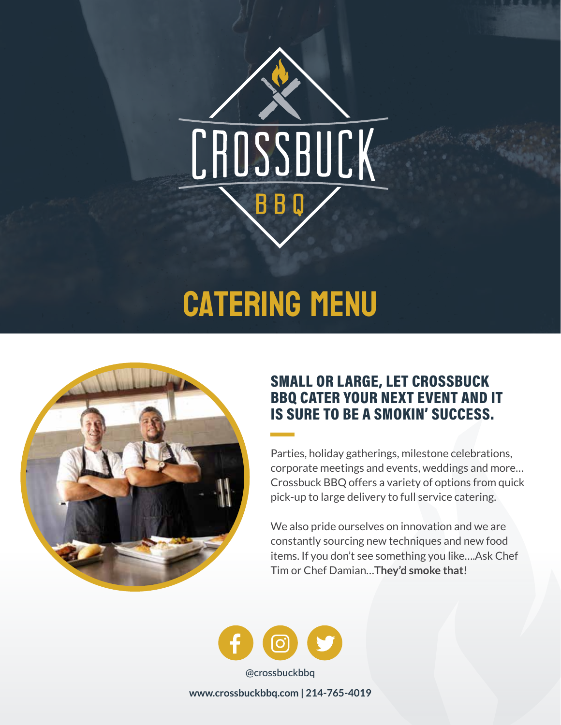

# **CATERING MENU**



### SMALL OR LARGE, LET CROSSBUCK BBQ CATER YOUR NEXT EVENT AND IT IS SURE TO BE A SMOKIN' SUCCESS.

Parties, holiday gatherings, milestone celebrations, corporate meetings and events, weddings and more… Crossbuck BBQ offers a variety of options from quick pick-up to large delivery to full service catering.

We also pride ourselves on innovation and we are constantly sourcing new techniques and new food items. If you don't see something you like….Ask Chef Tim or Chef Damian…**They'd smoke that!**



**www.crossbuckbbq.com | 214-765-4019**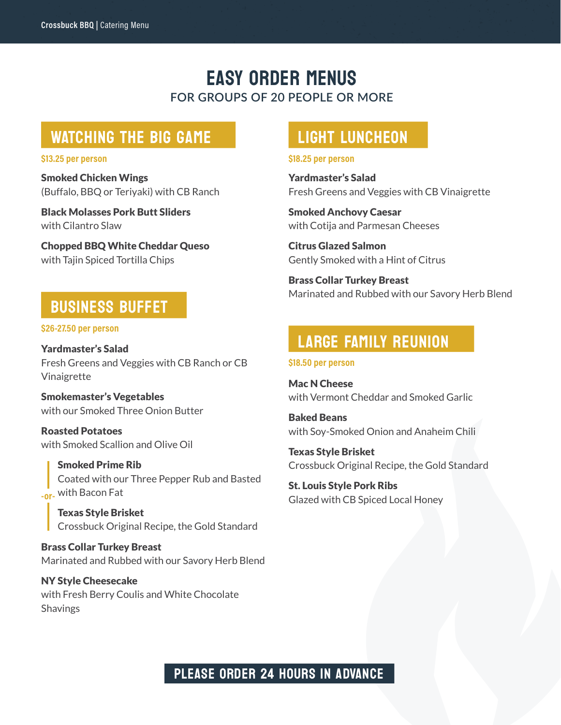### EASY ORDER MENUS **FOR GROUPS OF 20 PEOPLE OR MORE**

### WATCHING THE BIG GAME

Smoked Chicken Wings (Buffalo, BBQ or Teriyaki) with CB Ranch

Black Molasses Pork Butt Sliders with Cilantro Slaw

Chopped BBQ White Cheddar Queso with Tajin Spiced Tortilla Chips

### BUSINESS BUFFET

**\$26-27.50 per person**

Yardmaster's Salad Fresh Greens and Veggies with CB Ranch or CB Vinaigrette

Smokemaster's Vegetables with our Smoked Three Onion Butter

Roasted Potatoes with Smoked Scallion and Olive Oil

Smoked Prime Rib Coated with our Three Pepper Rub and Basted with Bacon Fat **-or-**

Texas Style Brisket Crossbuck Original Recipe, the Gold Standard

Brass Collar Turkey Breast Marinated and Rubbed with our Savory Herb Blend

NY Style Cheesecake with Fresh Berry Coulis and White Chocolate **Shavings** 

### LIGHT LUNCHEON

#### **\$13.25 per person \$18.25 per person**

Yardmaster's Salad Fresh Greens and Veggies with CB Vinaigrette

Smoked Anchovy Caesar with Cotija and Parmesan Cheeses

Citrus Glazed Salmon Gently Smoked with a Hint of Citrus

Brass Collar Turkey Breast Marinated and Rubbed with our Savory Herb Blend

### LARGE FAMILY REUNION

#### **\$18.50 per person**

Mac N Cheese with Vermont Cheddar and Smoked Garlic

Baked Beans with Soy-Smoked Onion and Anaheim Chili

Texas Style Brisket Crossbuck Original Recipe, the Gold Standard

St. Louis Style Pork Ribs Glazed with CB Spiced Local Honey

### PLEASE ORDER 24 HOURS IN ADVANCE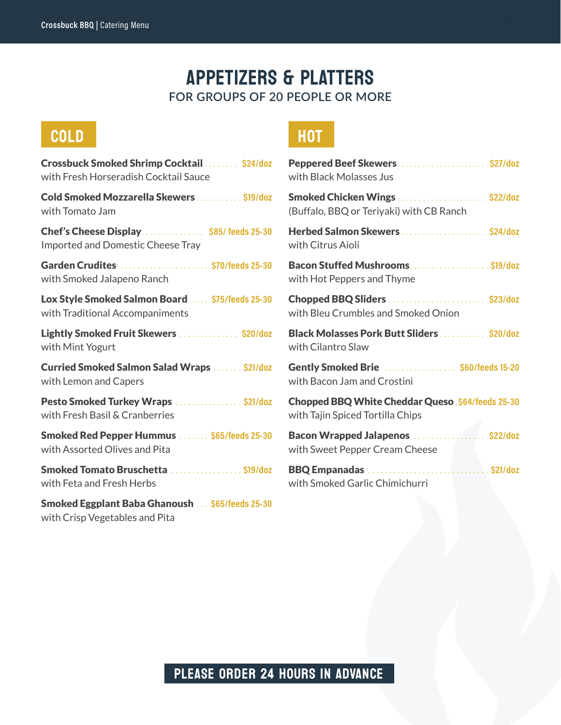### APPETIZERS & PLATTERS **FOR GROUPS OF 20 PEOPLE OR MORE**

## COLD HOT

Crossbuck Smoked Shrimp Cocktail ........ **\$24/doz** with Fresh Horseradish Cocktail Sauce Cold Smoked Mozzarella Skewers ........... **\$19/doz** with Tomato Jam Chef's Cheese Display............... **\$85/ feeds 25-30** Imported and Domestic Cheese Tray Garden Crudites ..................... **\$70/feeds 25-30** with Smoked Jalapeno Ranch Lox Style Smoked Salmon Board .... **\$75/feeds 25-30** with Traditional Accompaniments Lightly Smoked Fruit Skewers .............. **\$20/doz** with Mint Yogurt Curried Smoked Salmon Salad Wraps ....... **\$21/doz** with Lemon and Capers Pesto Smoked Turkey Wraps ................ **\$21/doz** with Fresh Basil & Cranberries Smoked Red Pepper Hummus ....... **\$65/feeds 25-30** with Assorted Olives and Pita Smoked Tomato Bruschetta ................. **\$19/doz** with Feta and Fresh Herbs Smoked Eggplant Baba Ghanoush ... **\$65/feeds 25-30** with Crisp Vegetables and Pita

| Peppered Beef Skewers  \$27/doz<br>with Black Molasses Jus                                   |
|----------------------------------------------------------------------------------------------|
| Smoked Chicken Wings  \$22/doz<br>(Buffalo, BBQ or Teriyaki) with CB Ranch                   |
| Herbed Salmon Skewers \$24/doz<br>with Citrus Aioli                                          |
| Bacon Stuffed Mushrooms. \$19/doz<br>with Hot Peppers and Thyme                              |
| Chopped BBQ Sliders  \$23/doz<br>with Bleu Crumbles and Smoked Onion                         |
| Black Molasses Pork Butt Sliders  \$20/doz<br>with Cilantro Slaw                             |
| Gently Smoked Brie  \$60/feeds 15-20<br>with Bacon Jam and Crostini                          |
| <b>Chopped BBQ White Cheddar Queso .\$64/feeds 25-30</b><br>with Tajin Spiced Tortilla Chips |
| Bacon Wrapped Jalapenos  \$22/doz<br>with Sweet Pepper Cream Cheese                          |
|                                                                                              |

### PLEASE ORDER 24 HOURS IN ADVANCE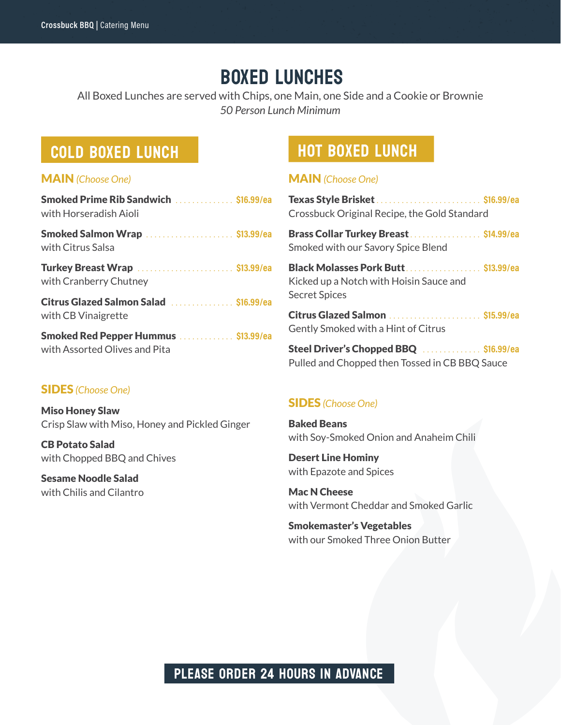### BOXED LUNCHES

All Boxed Lunches are served with Chips, one Main, one Side and a Cookie or Brownie *50 Person Lunch Minimum*

#### MAIN *(Choose One)*

| <b>Smoked Prime Rib Sandwich</b> \$16.99/ea |  |
|---------------------------------------------|--|
| with Horseradish Aioli                      |  |
| .                                           |  |

Smoked Salmon Wrap ..................... **\$13.99/ea** with Citrus Salsa

Turkey Breast Wrap ....................... **\$13.99/ea** with Cranberry Chutney

Citrus Glazed Salmon Salad ............... **\$16.99/ea** with CB Vinaigrette

Smoked Red Pepper Hummus ............. **\$13.99/ea** with Assorted Olives and Pita

#### SIDES *(Choose One)*

Miso Honey Slaw Crisp Slaw with Miso, Honey and Pickled Ginger

CB Potato Salad with Chopped BBQ and Chives

Sesame Noodle Salad with Chilis and Cilantro

### COLD BOXED LUNCH **HOT BOXED LUNCH**

#### MAIN *(Choose One)*

| Crossbuck Original Recipe, the Gold Standard |  |
|----------------------------------------------|--|

Brass Collar Turkey Breast ................. **\$14.99/ea** Smoked with our Savory Spice Blend

Black Molasses Pork Butt .................. **\$13.99/ea** Kicked up a Notch with Hoisin Sauce and Secret Spices

Citrus Glazed Salmon ...................... **\$15.99/ea** Gently Smoked with a Hint of Citrus

Steel Driver's Chopped BBQ .............. **\$16.99/ea** Pulled and Chopped then Tossed in CB BBQ Sauce

#### SIDES *(Choose One)*

Baked Beans with Soy-Smoked Onion and Anaheim Chili

Desert Line Hominy with Epazote and Spices

Mac N Cheese with Vermont Cheddar and Smoked Garlic

Smokemaster's Vegetables with our Smoked Three Onion Butter

### PLEASE ORDER 24 HOURS IN ADVANCE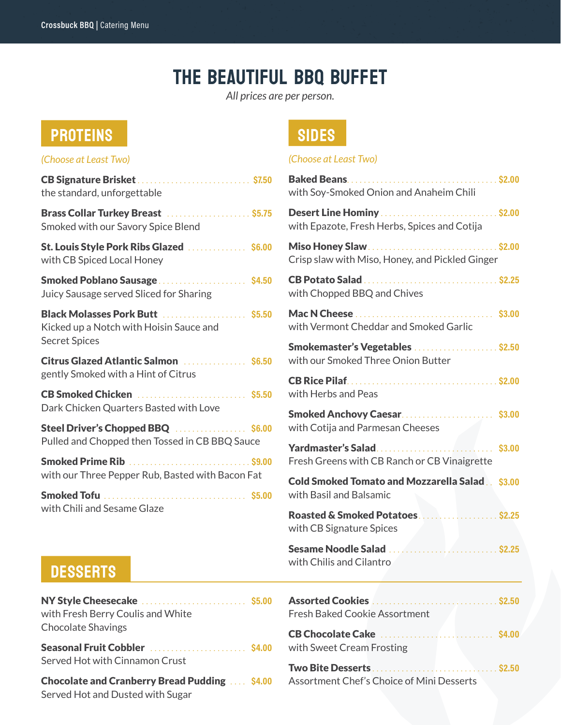## THE BEAUTIFUL BBQ BUFFET

*All prices are per person.*

## PROTEINS SIDES

| (Choose at Least Two)                                                                               |  |
|-----------------------------------------------------------------------------------------------------|--|
| CB Signature Brisket  \$7.50<br>the standard, unforgettable                                         |  |
| Brass Collar Turkey Breast  \$5.75<br>Smoked with our Savory Spice Blend                            |  |
| <b>St. Louis Style Pork Ribs Glazed</b> \$6.00<br>with CB Spiced Local Honey                        |  |
| Smoked Poblano Sausage \$4.50<br>Juicy Sausage served Sliced for Sharing                            |  |
| Black Molasses Pork Butt  \$5.50<br>Kicked up a Notch with Hoisin Sauce and<br><b>Secret Spices</b> |  |
| <b>Citrus Glazed Atlantic Salmon</b> National Street, S6.50<br>gently Smoked with a Hint of Citrus  |  |
| CB Smoked Chicken  \$5.50<br>Dark Chicken Quarters Basted with Love                                 |  |
| Steel Driver's Chopped BBQ \$6.00<br>Pulled and Chopped then Tossed in CB BBQ Sauce                 |  |
| Smoked Prime Rib  \$9.00<br>with our Three Pepper Rub, Basted with Bacon Fat                        |  |
| with Chili and Sesame Glaze                                                                         |  |

#### *(Choose at Least Two)*

| with Soy-Smoked Onion and Anaheim Chili                                           |                 |
|-----------------------------------------------------------------------------------|-----------------|
| Desert Line Hominy  \$2.00<br>with Epazote, Fresh Herbs, Spices and Cotiia        |                 |
| Crisp slaw with Miso, Honey, and Pickled Ginger                                   |                 |
| with Chopped BBQ and Chives                                                       |                 |
| with Vermont Cheddar and Smoked Garlic                                            |                 |
| Smokemaster's Vegetables \$2.50<br>with our Smoked Three Onion Butter             |                 |
| <b>CB Rice Pilaf</b><br>with Herbs and Peas                                       |                 |
| Smoked Anchovy Caesar \$3.00<br>with Cotija and Parmesan Cheeses                  |                 |
| Yardmaster's Salad<br>Fresh Greens with CB Ranch or CB Vinaigrette                | \$3.00          |
| <b>Cold Smoked Tomato and Mozzarella Salad  \$3.00</b><br>with Basil and Balsamic |                 |
| with CB Signature Spices                                                          |                 |
| Sesame Noodle Salad<br>with Chilis and Cilantro                                   |                 |
| Assorted Cookies<br>. \$2.50<br><b>Fresh Baked Cookie Assortment</b>              |                 |
| CB Chocolate Cake<br>with Sweet Cream Frosting                                    | <b>S4.00</b>    |
| Two Bite Desserts<br>Assortment Chef's Choice of Mini Desserts                    | $\ldots$ \$2.50 |

### **DESSERTS**

| NY Style Cheesecake  \$5.00<br>with Fresh Berry Coulis and White<br><b>Chocolate Shavings</b> |  |
|-----------------------------------------------------------------------------------------------|--|
| Served Hot with Cinnamon Crust                                                                |  |
| <b>Chocolate and Cranberry Bread Pudding  \$4.00</b><br>Served Hot and Dusted with Sugar      |  |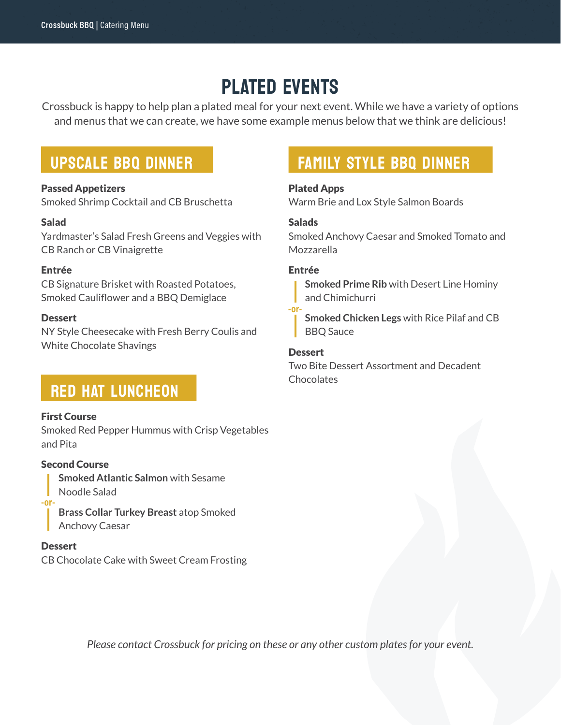## PLATED EVENTS

Crossbuck is happy to help plan a plated meal for your next event. While we have a variety of options and menus that we can create, we have some example menus below that we think are delicious!

### UPSCALE BBQ DINNER

#### Passed Appetizers

Smoked Shrimp Cocktail and CB Bruschetta

#### Salad

Yardmaster's Salad Fresh Greens and Veggies with CB Ranch or CB Vinaigrette

#### Entrée

CB Signature Brisket with Roasted Potatoes, Smoked Cauliflower and a BBQ Demiglace

#### **Dessert**

NY Style Cheesecake with Fresh Berry Coulis and White Chocolate Shavings

### RED HAT LUNCHEON

#### First Course

Smoked Red Pepper Hummus with Crisp Vegetables and Pita

#### Second Course

**Smoked Atlantic Salmon** with Sesame Noodle Salad **-or-**

**Brass Collar Turkey Breast** atop Smoked Anchovy Caesar

#### **Dessert**

CB Chocolate Cake with Sweet Cream Frosting

### FAMILY STYLE BBQ DINNER

#### Plated Apps

Warm Brie and Lox Style Salmon Boards

#### **Salads**

Smoked Anchovy Caesar and Smoked Tomato and Mozzarella

#### Entrée

**Smoked Prime Rib** with Desert Line Hominy and Chimichurri

**Smoked Chicken Legs** with Rice Pilaf and CB BBQ Sauce **-or-**

#### **Dessert**

Two Bite Dessert Assortment and Decadent **Chocolates** 

*Please contact Crossbuck for pricing on these or any other custom plates for your event.*